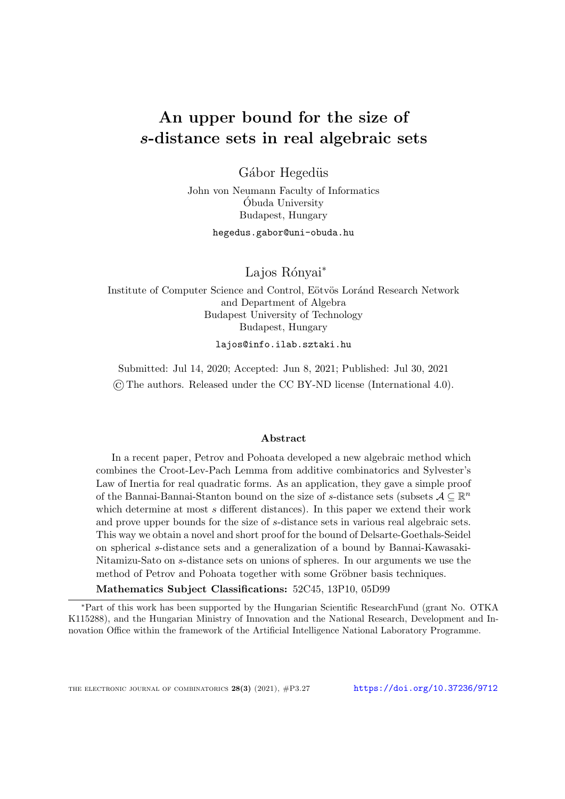# An upper bound for the size of s-distance sets in real algebraic sets

Gábor Hegedüs

John von Neumann Faculty of Informatics Obuda University ´ Budapest, Hungary

hegedus.gabor@uni-obuda.hu

Lajos Rónyai<sup>∗</sup>

Institute of Computer Science and Control, Eötvös Loránd Research Network and Department of Algebra Budapest University of Technology Budapest, Hungary

lajos@info.ilab.sztaki.hu

Submitted: Jul 14, 2020; Accepted: Jun 8, 2021; Published: Jul 30, 2021 ©The authors. Released under the CC BY-ND license (International 4.0).

### Abstract

In a recent paper, Petrov and Pohoata developed a new algebraic method which combines the Croot-Lev-Pach Lemma from additive combinatorics and Sylvester's Law of Inertia for real quadratic forms. As an application, they gave a simple proof of the Bannai-Bannai-Stanton bound on the size of s-distance sets (subsets  $A \subseteq \mathbb{R}^n$ which determine at most s different distances). In this paper we extend their work and prove upper bounds for the size of s-distance sets in various real algebraic sets. This way we obtain a novel and short proof for the bound of Delsarte-Goethals-Seidel on spherical s-distance sets and a generalization of a bound by Bannai-Kawasaki-Nitamizu-Sato on s-distance sets on unions of spheres. In our arguments we use the method of Petrov and Pohoata together with some Gröbner basis techniques.

Mathematics Subject Classifications: 52C45, 13P10, 05D99

<sup>∗</sup>Part of this work has been supported by the Hungarian Scientific ResearchFund (grant No. OTKA K115288), and the Hungarian Ministry of Innovation and the National Research, Development and Innovation Office within the framework of the Artificial Intelligence National Laboratory Programme.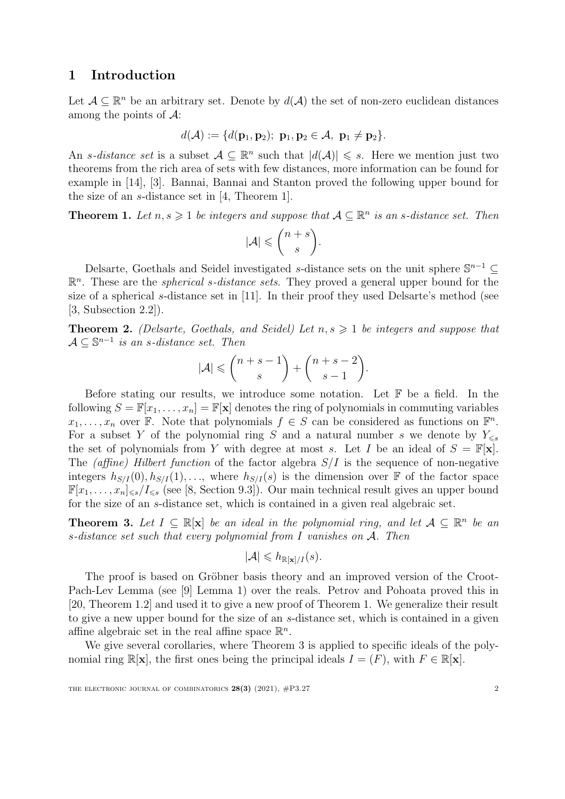## 1 Introduction

Let  $A \subseteq \mathbb{R}^n$  be an arbitrary set. Denote by  $d(A)$  the set of non-zero euclidean distances among the points of  $\mathcal{A}$ :

$$
d(\mathcal{A}) := \{d(\mathbf{p}_1, \mathbf{p}_2); \ \mathbf{p}_1, \mathbf{p}_2 \in \mathcal{A}, \ \mathbf{p}_1 \neq \mathbf{p}_2\}.
$$

An s-distance set is a subset  $A \subseteq \mathbb{R}^n$  such that  $|d(A)| \leq s$ . Here we mention just two theorems from the rich area of sets with few distances, more information can be found for example in [\[14\]](#page-10-0), [\[3\]](#page-10-1). Bannai, Bannai and Stanton proved the following upper bound for the size of an s-distance set in [\[4,](#page-10-2) Theorem 1].

<span id="page-1-0"></span>**Theorem 1.** Let  $n, s \geq 1$  be integers and suppose that  $A \subseteq \mathbb{R}^n$  is an s-distance set. Then

$$
|\mathcal{A}| \leqslant {n+s \choose s}.
$$

Delsarte, Goethals and Seidel investigated s-distance sets on the unit sphere  $\mathbb{S}^{n-1}$  $\mathbb{R}^n$ . These are the *spherical s-distance sets*. They proved a general upper bound for the size of a spherical s-distance set in [\[11\]](#page-10-3). In their proof they used Delsarte's method (see [\[3,](#page-10-1) Subsection 2.2]).

<span id="page-1-2"></span>**Theorem 2.** (Delsarte, Goethals, and Seidel) Let  $n, s \geq 1$  be integers and suppose that  $A \subseteq \mathbb{S}^{n-1}$  is an s-distance set. Then

$$
|\mathcal{A}| \leqslant \binom{n+s-1}{s} + \binom{n+s-2}{s-1}.
$$

Before stating our results, we introduce some notation. Let  $\mathbb F$  be a field. In the following  $S = \mathbb{F}[x_1, \ldots, x_n] = \mathbb{F}[\mathbf{x}]$  denotes the ring of polynomials in commuting variables  $x_1, \ldots, x_n$  over F. Note that polynomials  $f \in S$  can be considered as functions on  $\mathbb{F}^n$ . For a subset Y of the polynomial ring S and a natural number s we denote by  $Y_{\leq s}$ the set of polynomials from Y with degree at most s. Let I be an ideal of  $S = \mathbb{F}[\mathbf{x}]$ . The (affine) Hilbert function of the factor algebra  $S/I$  is the sequence of non-negative integers  $h_{S/I}(0), h_{S/I}(1), \ldots$ , where  $h_{S/I}(s)$  is the dimension over F of the factor space  $\mathbb{F}[x_1,\ldots,x_n]_{\leq s}/I_{\leq s}$  (see [\[8,](#page-10-4) Section 9.3]). Our main technical result gives an upper bound for the size of an s-distance set, which is contained in a given real algebraic set.

<span id="page-1-1"></span>**Theorem 3.** Let  $I \subseteq \mathbb{R}[\mathbf{x}]$  be an ideal in the polynomial ring, and let  $A \subseteq \mathbb{R}^n$  be an s-distance set such that every polynomial from I vanishes on  $A$ . Then

$$
|\mathcal{A}| \leqslant h_{\mathbb{R}[\mathbf{x}]/I}(s).
$$

The proof is based on Gröbner basis theory and an improved version of the Croot-Pach-Lev Lemma (see [\[9\]](#page-10-5) Lemma 1) over the reals. Petrov and Pohoata proved this in [\[20,](#page-10-6) Theorem 1.2] and used it to give a new proof of Theorem [1.](#page-1-0) We generalize their result to give a new upper bound for the size of an s-distance set, which is contained in a given affine algebraic set in the real affine space  $\mathbb{R}^n$ .

We give several corollaries, where Theorem [3](#page-1-1) is applied to specific ideals of the polynomial ring  $\mathbb{R}[\mathbf{x}]$ , the first ones being the principal ideals  $I = (F)$ , with  $F \in \mathbb{R}[\mathbf{x}]$ .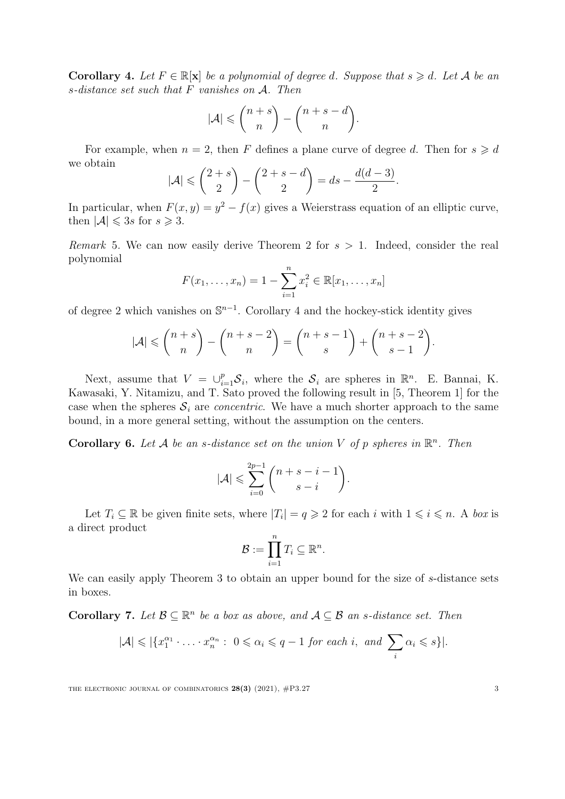<span id="page-2-0"></span>**Corollary 4.** Let  $F \in \mathbb{R}[\mathbf{x}]$  be a polynomial of degree d. Suppose that  $s \geq d$ . Let A be an s-distance set such that F vanishes on A. Then

$$
|\mathcal{A}| \leqslant {n+s \choose n} - {n+s-d \choose n}.
$$

For example, when  $n = 2$ , then F defines a plane curve of degree d. Then for  $s \geq d$ we obtain

$$
|\mathcal{A}| \leqslant {\binom{2+s}{2}} - {\binom{2+s-d}{2}} = ds - \frac{d(d-3)}{2}.
$$

In particular, when  $F(x, y) = y^2 - f(x)$  gives a Weierstrass equation of an elliptic curve, then  $|\mathcal{A}| \leqslant 3s$  for  $s \geqslant 3$ .

Remark 5. We can now easily derive Theorem [2](#page-1-2) for  $s > 1$ . Indeed, consider the real polynomial

$$
F(x_1, ..., x_n) = 1 - \sum_{i=1}^n x_i^2 \in \mathbb{R}[x_1, ..., x_n]
$$

of degree 2 which vanishes on  $\mathbb{S}^{n-1}$ . Corollary [4](#page-2-0) and the hockey-stick identity gives

$$
|\mathcal{A}| \leqslant {n+s \choose n} - {n+s-2 \choose n} = {n+s-1 \choose s} + {n+s-2 \choose s-1}.
$$

Next, assume that  $V = \bigcup_{i=1}^p \mathcal{S}_i$ , where the  $\mathcal{S}_i$  are spheres in  $\mathbb{R}^n$ . E. Bannai, K. Kawasaki, Y. Nitamizu, and T. Sato proved the following result in [\[5,](#page-10-7) Theorem 1] for the case when the spheres  $S_i$  are *concentric*. We have a much shorter approach to the same bound, in a more general setting, without the assumption on the centers.

<span id="page-2-2"></span>**Corollary 6.** Let A be an s-distance set on the union V of p spheres in  $\mathbb{R}^n$ . Then

$$
|\mathcal{A}| \leqslant \sum_{i=0}^{2p-1} {n+s-i-1 \choose s-i}.
$$

Let  $T_i \subseteq \mathbb{R}$  be given finite sets, where  $|T_i| = q \geq 2$  for each i with  $1 \leq i \leq n$ . A box is a direct product

$$
\mathcal{B} := \prod_{i=1}^n T_i \subseteq \mathbb{R}^n.
$$

We can easily apply Theorem [3](#page-1-1) to obtain an upper bound for the size of s-distance sets in boxes.

<span id="page-2-1"></span>**Corollary 7.** Let  $\mathcal{B} \subseteq \mathbb{R}^n$  be a box as above, and  $\mathcal{A} \subseteq \mathcal{B}$  an s-distance set. Then

$$
|\mathcal{A}| \leqslant |\{x_1^{\alpha_1} \cdot \ldots \cdot x_n^{\alpha_n} : 0 \leqslant \alpha_i \leqslant q-1 \text{ for each } i, \text{ and } \sum_i \alpha_i \leqslant s\}|.
$$

THE ELECTRONIC JOURNAL OF COMBINATORICS  $28(3)$  (2021),  $\#P3.27$  3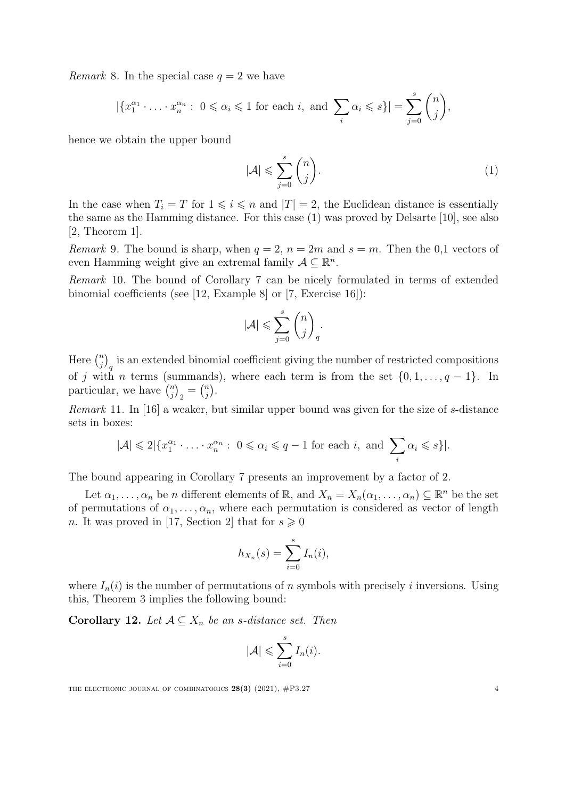*Remark* 8. In the special case  $q = 2$  we have

$$
|\{x_1^{\alpha_1} \cdot \ldots \cdot x_n^{\alpha_n} : 0 \le \alpha_i \le 1 \text{ for each } i, \text{ and } \sum_i \alpha_i \le s\}| = \sum_{j=0}^s \binom{n}{j},
$$

hence we obtain the upper bound

<span id="page-3-0"></span>
$$
|\mathcal{A}| \leqslant \sum_{j=0}^{s} \binom{n}{j}.\tag{1}
$$

In the case when  $T_i = T$  for  $1 \leq i \leq n$  and  $|T| = 2$ , the Euclidean distance is essentially the same as the Hamming distance. For this case [\(1\)](#page-3-0) was proved by Delsarte [\[10\]](#page-10-8), see also [\[2,](#page-9-0) Theorem 1].

Remark 9. The bound is sharp, when  $q = 2$ ,  $n = 2m$  and  $s = m$ . Then the 0,1 vectors of even Hamming weight give an extremal family  $A \subseteq \mathbb{R}^n$ .

Remark 10. The bound of Corollary [7](#page-2-1) can be nicely formulated in terms of extended binomial coefficients (see [\[12,](#page-10-9) Example 8] or [\[7,](#page-10-10) Exercise 16]):

$$
|\mathcal{A}| \leqslant \sum_{j=0}^s \binom{n}{j}_q.
$$

Here  $\binom{n}{i}$  ${j \choose j}_q$  is an extended binomial coefficient giving the number of restricted compositions of j with n terms (summands), where each term is from the set  $\{0, 1, \ldots, q-1\}$ . In particular, we have  $\binom{n}{i}$  $\binom{n}{j}_2 = \binom{n}{j}$  $\binom{n}{j}$  .

Remark 11. In [\[16\]](#page-10-11) a weaker, but similar upper bound was given for the size of s-distance sets in boxes:

$$
|\mathcal{A}| \leq 2 |\{x_1^{\alpha_1} \cdot \ldots \cdot x_n^{\alpha_n} : 0 \leq \alpha_i \leq q-1 \text{ for each } i, \text{ and } \sum_i \alpha_i \leq s\}|.
$$

The bound appearing in Corollary [7](#page-2-1) presents an improvement by a factor of 2.

Let  $\alpha_1, \ldots, \alpha_n$  be n different elements of  $\mathbb{R}$ , and  $X_n = X_n(\alpha_1, \ldots, \alpha_n) \subseteq \mathbb{R}^n$  be the set of permutations of  $\alpha_1, \ldots, \alpha_n$ , where each permutation is considered as vector of length n. It was proved in [\[17,](#page-10-12) Section 2] that for  $s \geq 0$ 

$$
h_{X_n}(s) = \sum_{i=0}^s I_n(i),
$$

where  $I_n(i)$  is the number of permutations of n symbols with precisely i inversions. Using this, Theorem [3](#page-1-1) implies the following bound:

**Corollary 12.** Let  $A \subseteq X_n$  be an s-distance set. Then

$$
|\mathcal{A}| \leqslant \sum_{i=0}^{s} I_n(i).
$$

THE ELECTRONIC JOURNAL OF COMBINATORICS  $28(3)$  (2021),  $\#P3.27$  4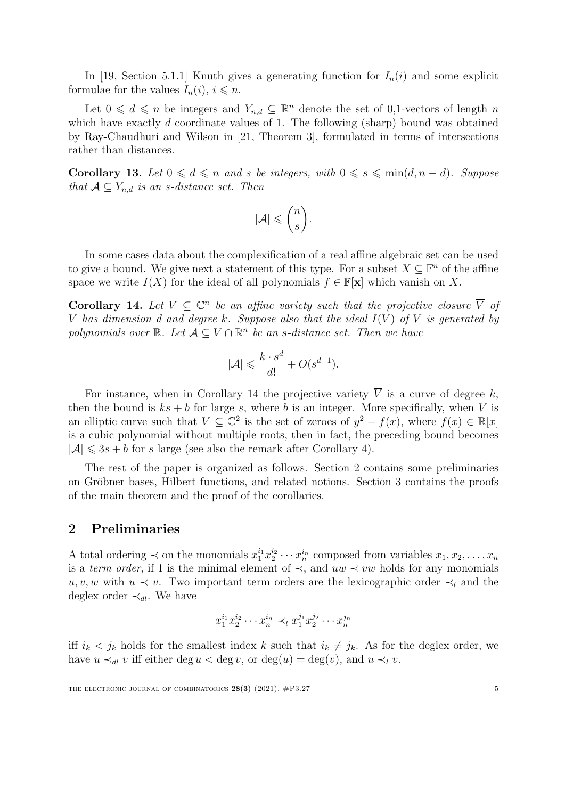In [\[19,](#page-10-13) Section 5.1.1] Knuth gives a generating function for  $I_n(i)$  and some explicit formulae for the values  $I_n(i)$ ,  $i \leq n$ .

Let  $0 \leq d \leq n$  be integers and  $Y_{n,d} \subseteq \mathbb{R}^n$  denote the set of 0,1-vectors of length n which have exactly d coordinate values of 1. The following (sharp) bound was obtained by Ray-Chaudhuri and Wilson in [\[21,](#page-10-14) Theorem 3], formulated in terms of intersections rather than distances.

<span id="page-4-1"></span>Corollary 13. Let  $0 \leq d \leq n$  and s be integers, with  $0 \leq s \leq \min(d, n - d)$ . Suppose that  $A \subseteq Y_{n,d}$  is an s-distance set. Then

$$
|\mathcal{A}| \leqslant \binom{n}{s}.
$$

In some cases data about the complexification of a real affine algebraic set can be used to give a bound. We give next a statement of this type. For a subset  $X \subseteq \mathbb{F}^n$  of the affine space we write  $I(X)$  for the ideal of all polynomials  $f \in \mathbb{F}[\mathbf{x}]$  which vanish on X.

<span id="page-4-0"></span>**Corollary 14.** Let  $V \subseteq \mathbb{C}^n$  be an affine variety such that the projective closure  $\overline{V}$  of V has dimension d and degree k. Suppose also that the ideal  $I(V)$  of V is generated by polynomials over  $\mathbb{R}$ . Let  $\mathcal{A} \subseteq V \cap \mathbb{R}^n$  be an s-distance set. Then we have

$$
|\mathcal{A}| \leqslant \frac{k \cdot s^d}{d!} + O(s^{d-1}).
$$

For instance, when in Corollary [14](#page-4-0) the projective variety  $\overline{V}$  is a curve of degree k, then the bound is  $ks + b$  for large s, where b is an integer. More specifically, when  $\overline{V}$  is an elliptic curve such that  $V \subseteq \mathbb{C}^2$  is the set of zeroes of  $y^2 - f(x)$ , where  $f(x) \in \mathbb{R}[x]$ is a cubic polynomial without multiple roots, then in fact, the preceding bound becomes  $|\mathcal{A}| \leq 3s + b$  for s large (see also the remark after Corollary [4\)](#page-2-0).

The rest of the paper is organized as follows. Section 2 contains some preliminaries on Gröbner bases, Hilbert functions, and related notions. Section 3 contains the proofs of the main theorem and the proof of the corollaries.

## 2 Preliminaries

A total ordering  $\prec$  on the monomials  $x_1^{i_1}x_2^{i_2}\cdots x_n^{i_n}$  composed from variables  $x_1, x_2, \ldots, x_n$ is a term order, if 1 is the minimal element of  $\prec$ , and  $uw \prec vw$  holds for any monomials u, v, w with  $u \prec v$ . Two important term orders are the lexicographic order  $\prec_l$  and the deglex order  $\prec_{dl}$ . We have

$$
x_1^{i_1} x_2^{i_2} \cdots x_n^{i_n} \prec_l x_1^{j_1} x_2^{j_2} \cdots x_n^{j_n}
$$

iff  $i_k < j_k$  holds for the smallest index k such that  $i_k \neq j_k$ . As for the deglex order, we have  $u \prec_{dl} v$  iff either deg  $u < \deg v$ , or  $\deg(u) = \deg(v)$ , and  $u \prec_{l} v$ .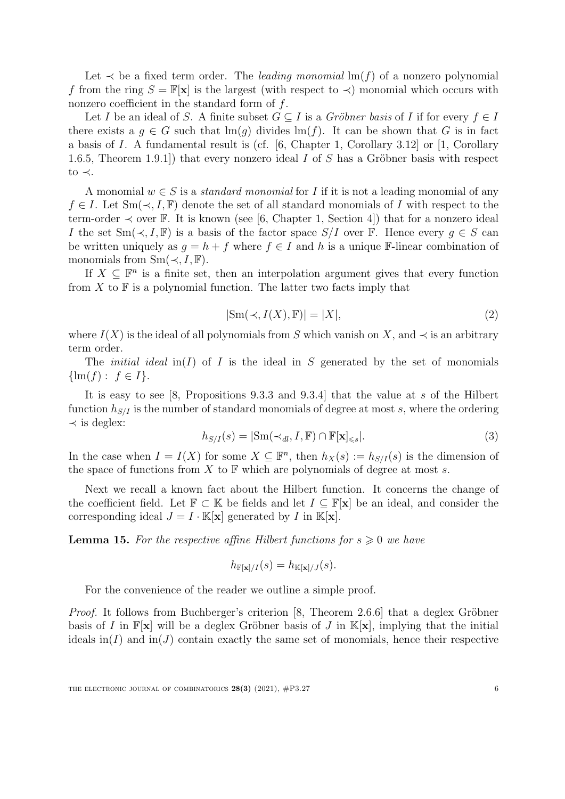Let  $\prec$  be a fixed term order. The *leading monomial*  $\text{Im}(f)$  of a nonzero polynomial f from the ring  $S = \mathbb{F}[\mathbf{x}]$  is the largest (with respect to  $\prec$ ) monomial which occurs with nonzero coefficient in the standard form of f.

Let I be an ideal of S. A finite subset  $G \subseteq I$  is a *Gröbner basis* of I if for every  $f \in I$ there exists a  $q \in G$  such that  $\text{Im}(q)$  divides  $\text{Im}(f)$ . It can be shown that G is in fact a basis of I. A fundamental result is (cf. [\[6,](#page-10-15) Chapter 1, Corollary 3.12] or [\[1,](#page-9-1) Corollary 1.6.5, Theorem 1.9.1) that every nonzero ideal I of S has a Gröbner basis with respect to ≺.

A monomial  $w \in S$  is a *standard monomial* for I if it is not a leading monomial of any  $f \in I$ . Let  $Sm(\prec, I, \mathbb{F})$  denote the set of all standard monomials of I with respect to the term-order  $\prec$  over F. It is known (see [\[6,](#page-10-15) Chapter 1, Section 4]) that for a nonzero ideal I the set  $\text{Sm}(\prec, I, \mathbb{F})$  is a basis of the factor space  $S/I$  over  $\mathbb{F}$ . Hence every  $g \in S$  can be written uniquely as  $q = h + f$  where  $f \in I$  and h is a unique F-linear combination of monomials from  $Sm(\prec, I, \mathbb{F})$ .

<span id="page-5-1"></span>If  $X \subseteq \mathbb{F}^n$  is a finite set, then an interpolation argument gives that every function from  $X$  to  $\mathbb F$  is a polynomial function. The latter two facts imply that

$$
|\text{Sm}(\prec, I(X), \mathbb{F})| = |X|,\tag{2}
$$

where  $I(X)$  is the ideal of all polynomials from S which vanish on X, and  $\prec$  is an arbitrary term order.

The *initial ideal* in(I) of I is the ideal in S generated by the set of monomials  $\{\text{lm}(f): f \in I\}.$ 

<span id="page-5-0"></span>It is easy to see [\[8,](#page-10-4) Propositions 9.3.3 and 9.3.4] that the value at s of the Hilbert function  $h_{S/I}$  is the number of standard monomials of degree at most s, where the ordering  $\prec$  is deglex:

$$
h_{S/I}(s) = |\text{Sm}(\prec_{dl}, I, \mathbb{F}) \cap \mathbb{F}[\mathbf{x}]_{\leq s} |.
$$
\n(3)

In the case when  $I = I(X)$  for some  $X \subseteq \mathbb{F}^n$ , then  $h_X(s) := h_{S/I}(s)$  is the dimension of the space of functions from  $X$  to  $\mathbb F$  which are polynomials of degree at most s.

Next we recall a known fact about the Hilbert function. It concerns the change of the coefficient field. Let  $\mathbb{F} \subset \mathbb{K}$  be fields and let  $I \subset \mathbb{F}[\mathbf{x}]$  be an ideal, and consider the corresponding ideal  $J = I \cdot \mathbb{K}[\mathbf{x}]$  generated by I in  $\mathbb{K}[\mathbf{x}]$ .

<span id="page-5-2"></span>**Lemma 15.** For the respective affine Hilbert functions for  $s \geq 0$  we have

$$
h_{\mathbb{F}[\mathbf{x}]/I}(s) = h_{\mathbb{K}[\mathbf{x}]/J}(s).
$$

For the convenience of the reader we outline a simple proof.

*Proof.* It follows from Buchberger's criterion  $[8,$  Theorem 2.6.6] that a deglex Gröbner basis of I in  $\mathbb{F}[\mathbf{x}]$  will be a deglex Gröbner basis of J in  $\mathbb{K}[\mathbf{x}]$ , implying that the initial ideals in(I) and in(J) contain exactly the same set of monomials, hence their respective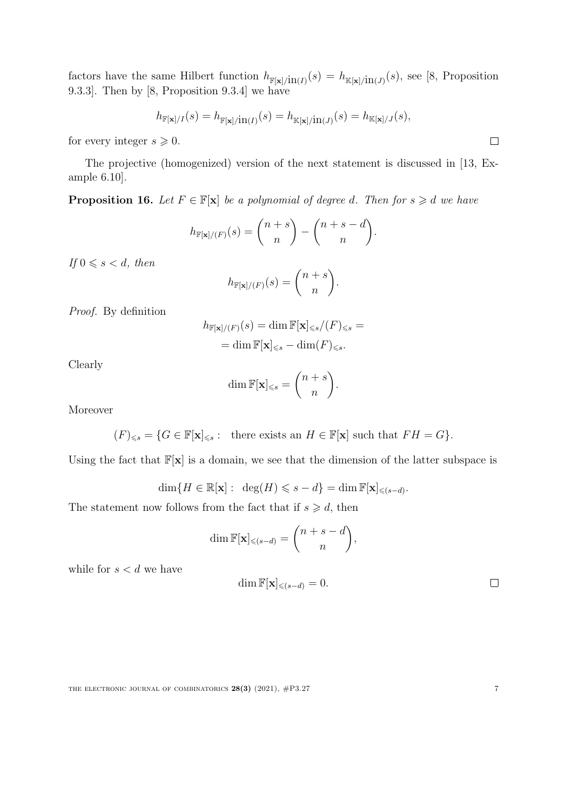factors have the same Hilbert function  $h_{\mathbb{F}[\mathbf{x}]/\text{in}(I)}(s) = h_{\mathbb{K}[\mathbf{x}]/\text{in}(J)}(s)$ , see [\[8,](#page-10-4) Proposition 9.3.3]. Then by [\[8,](#page-10-4) Proposition 9.3.4] we have

$$
h_{\mathbb{F}[\mathbf{x}]/I}(s) = h_{\mathbb{F}[\mathbf{x}]/\mathrm{in}(I)}(s) = h_{\mathbb{K}[\mathbf{x}]/\mathrm{in}(J)}(s) = h_{\mathbb{K}[\mathbf{x}]/J}(s),
$$

for every integer  $s \geqslant 0$ .

The projective (homogenized) version of the next statement is discussed in [\[13,](#page-10-16) Example 6.10].

<span id="page-6-0"></span>**Proposition 16.** Let  $F \in \mathbb{F}[\mathbf{x}]$  be a polynomial of degree d. Then for  $s \geq d$  we have

$$
h_{\mathbb{F}[\mathbf{x}]/(F)}(s) = \binom{n+s}{n} - \binom{n+s-d}{n}.
$$

If  $0 \le s < d$ , then

$$
h_{\mathbb{F}[\mathbf{x}]/(F)}(s) = \binom{n+s}{n}.
$$

Proof. By definition

$$
h_{\mathbb{F}[\mathbf{x}]/(F)}(s) = \dim \mathbb{F}[\mathbf{x}]_{\leq s}/(F)_{\leq s} =
$$
  
= 
$$
\dim \mathbb{F}[\mathbf{x}]_{\leq s} - \dim(F)_{\leq s}.
$$

Clearly

$$
\dim \mathbb{F}[\mathbf{x}]_{\leqslant s} = \binom{n+s}{n}.
$$

Moreover

$$
(F)_{\leq s} = \{ G \in \mathbb{F}[\mathbf{x}]_{\leq s} : \text{ there exists an } H \in \mathbb{F}[\mathbf{x}] \text{ such that } FH = G \}.
$$

Using the fact that  $\mathbb{F}[\mathbf{x}]$  is a domain, we see that the dimension of the latter subspace is

$$
\dim\{H \in \mathbb{R}[\mathbf{x}]: \ \deg(H) \leqslant s - d\} = \dim \mathbb{F}[\mathbf{x}]_{\leqslant (s - d)}.
$$

The statement now follows from the fact that if  $s \geq d$ , then

$$
\dim \mathbb{F}[\mathbf{x}]_{\leqslant (s-d)} = \binom{n+s-d}{n},
$$

while for  $s < d$  we have

$$
\dim \mathbb{F}[\mathbf{x}]_{\leqslant (s-d)} = 0. \qquad \qquad \Box
$$

 $\Box$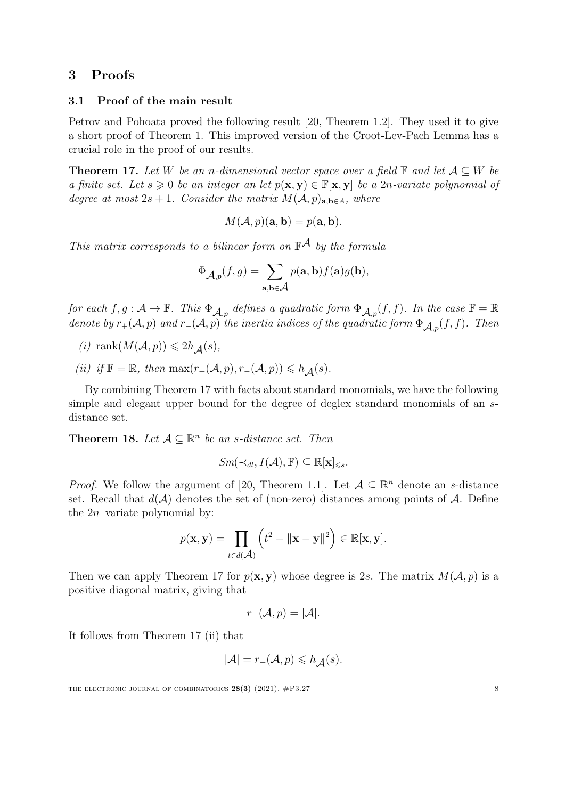# 3 Proofs

## 3.1 Proof of the main result

Petrov and Pohoata proved the following result [\[20,](#page-10-6) Theorem 1.2]. They used it to give a short proof of Theorem [1.](#page-1-0) This improved version of the Croot-Lev-Pach Lemma has a crucial role in the proof of our results.

<span id="page-7-0"></span>**Theorem 17.** Let W be an n-dimensional vector space over a field  $\mathbb{F}$  and let  $\mathcal{A} \subseteq W$  be a finite set. Let  $s \geq 0$  be an integer an let  $p(x, y) \in \mathbb{F}[x, y]$  be a 2n-variate polynomial of degree at most  $2s + 1$ . Consider the matrix  $M(A, p)_{a,b \in A}$ , where

$$
M(\mathcal{A}, p)(\mathbf{a}, \mathbf{b}) = p(\mathbf{a}, \mathbf{b}).
$$

This matrix corresponds to a bilinear form on  $\mathbb{F}^{\mathcal{A}}$  by the formula

$$
\Phi_{\mathcal{A},p}(f,g) = \sum_{\mathbf{a},\mathbf{b}\in\mathcal{A}} p(\mathbf{a},\mathbf{b}) f(\mathbf{a}) g(\mathbf{b}),
$$

for each  $f, g: \mathcal{A} \to \mathbb{F}$ . This  $\Phi_{\mathcal{A}, p}$  defines a quadratic form  $\Phi_{\mathcal{A}, p}(f, f)$ . In the case  $\mathbb{F} = \mathbb{R}$ denote by  $r_+(\mathcal{A}, p)$  and  $r_-(\mathcal{A}, p)$  the inertia indices of the quadratic form  $\Phi_{\mathcal{A},p}(f,f)$ . Then

- (i) rank $(M(\mathcal{A}, p)) \leq 2h_{\mathcal{A}}(s)$ ,
- (ii) if  $\mathbb{F} = \mathbb{R}$ , then  $\max(r_{+}(\mathcal{A}, p), r_{-}(\mathcal{A}, p)) \leq h_A(s)$ .

By combining Theorem [17](#page-7-0) with facts about standard monomials, we have the following simple and elegant upper bound for the degree of deglex standard monomials of an sdistance set.

<span id="page-7-1"></span>**Theorem 18.** Let  $A \subseteq \mathbb{R}^n$  be an s-distance set. Then

$$
\mathit{Sm}(\prec_{\mathit{dl}}, I(\mathcal{A}), \mathbb{F}) \subseteq \mathbb{R}[\mathbf{x}]_{\leq s}.
$$

*Proof.* We follow the argument of [\[20,](#page-10-6) Theorem 1.1]. Let  $A \subseteq \mathbb{R}^n$  denote an s-distance set. Recall that  $d(\mathcal{A})$  denotes the set of (non-zero) distances among points of  $\mathcal{A}$ . Define the  $2n$ -variate polynomial by:

$$
p(\mathbf{x}, \mathbf{y}) = \prod_{t \in d(\mathcal{A})} \left( t^2 - ||\mathbf{x} - \mathbf{y}||^2 \right) \in \mathbb{R}[\mathbf{x}, \mathbf{y}].
$$

Then we can apply Theorem [17](#page-7-0) for  $p(\mathbf{x}, \mathbf{y})$  whose degree is 2s. The matrix  $M(\mathcal{A}, p)$  is a positive diagonal matrix, giving that

$$
r_{+}(\mathcal{A}, p) = |\mathcal{A}|.
$$

It follows from Theorem [17](#page-7-0) (ii) that

$$
|\mathcal{A}|=r_+(\mathcal{A},p)\leqslant h_\mathcal{A}(s).
$$

THE ELECTRONIC JOURNAL OF COMBINATORICS  $28(3)$  (2021),  $\#P3.27$  8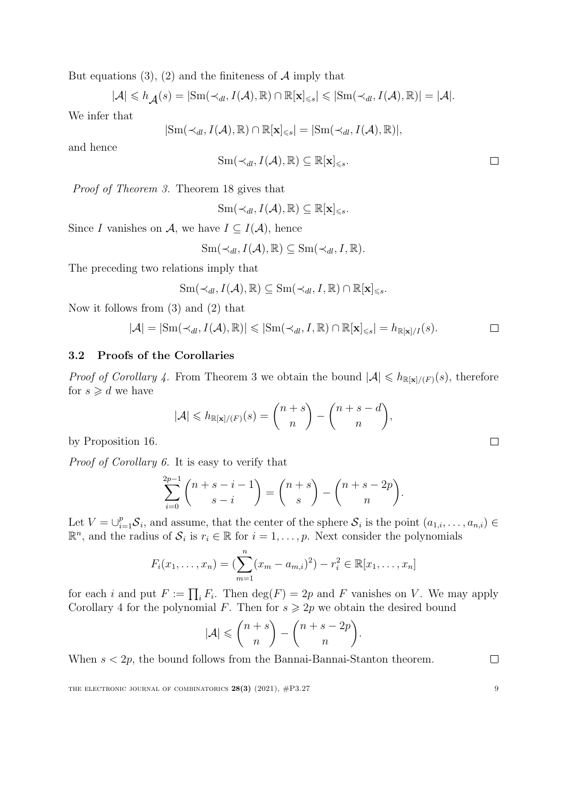But equations [\(3\)](#page-5-0), [\(2\)](#page-5-1) and the finiteness of  $A$  imply that

$$
|\mathcal{A}| \leq h_{\mathcal{A}}(s) = |\mathrm{Sm}(\prec_{dl}, I(\mathcal{A}), \mathbb{R}) \cap \mathbb{R}[\mathbf{x}]_{\leq s}| \leq |\mathrm{Sm}(\prec_{dl}, I(\mathcal{A}), \mathbb{R})| = |\mathcal{A}|.
$$

We infer that

$$
|{\rm Sm}(\prec_{dl},I(\mathcal{A}),{\mathbb{R}})\cap{\mathbb{R}}[\mathbf{x}]_{\leq s}|=|{\rm Sm}(\prec_{dl},I(\mathcal{A}),{\mathbb{R}})|,
$$

and hence

$$
\mathrm{Sm}(\prec_{dl}, I(\mathcal{A}), \mathbb{R}) \subseteq \mathbb{R}[\mathbf{x}]_{\leq s}.\square
$$

Proof of Theorem [3.](#page-1-1) Theorem [18](#page-7-1) gives that

$$
Sm(\prec_{dl}, I(\mathcal{A}), \mathbb{R}) \subseteq \mathbb{R}[\mathbf{x}]_{\leq s}.
$$

Since I vanishes on A, we have  $I \subseteq I(\mathcal{A})$ , hence

$$
\mathrm{Sm}(\prec_{dl}, I(\mathcal{A}), \mathbb{R}) \subseteq \mathrm{Sm}(\prec_{dl}, I, \mathbb{R}).
$$

The preceding two relations imply that

$$
\mathrm{Sm}(\prec_{\mathit{dl}}, I(\mathcal{A}), \mathbb{R}) \subseteq \mathrm{Sm}(\prec_{\mathit{dl}}, I, \mathbb{R}) \cap \mathbb{R}[\mathbf{x}]_{\leq s}.
$$

Now it follows from [\(3\)](#page-5-0) and [\(2\)](#page-5-1) that

$$
|\mathcal{A}| = |\mathrm{Sm}(\prec_{dl}, I(\mathcal{A}), \mathbb{R})| \leqslant |\mathrm{Sm}(\prec_{dl}, I, \mathbb{R}) \cap \mathbb{R}[\mathbf{x}]_{\leqslant s}| = h_{\mathbb{R}[\mathbf{x}]/I}(s).
$$

#### 3.2 Proofs of the Corollaries

*Proof of Corollary [4.](#page-2-0)* From Theorem [3](#page-1-1) we obtain the bound  $|A| \le h_{\mathbb{R}[\mathbf{x}]/(F)}(s)$ , therefore for  $s \geq d$  we have

$$
|\mathcal{A}| \leqslant h_{\mathbb{R}[\mathbf{x}]/(F)}(s) = \binom{n+s}{n} - \binom{n+s-d}{n},
$$

by Proposition [16.](#page-6-0)

Proof of Corollary [6.](#page-2-2) It is easy to verify that

$$
\sum_{i=0}^{2p-1} \binom{n+s-i-1}{s-i} = \binom{n+s}{s} - \binom{n+s-2p}{n}.
$$

Let  $V = \bigcup_{i=1}^p \mathcal{S}_i$ , and assume, that the center of the sphere  $\mathcal{S}_i$  is the point  $(a_{1,i},\ldots,a_{n,i}) \in$  $\mathbb{R}^n$ , and the radius of  $\mathcal{S}_i$  is  $r_i \in \mathbb{R}$  for  $i = 1, \ldots, p$ . Next consider the polynomials

$$
F_i(x_1,...,x_n) = (\sum_{m=1}^n (x_m - a_{m,i})^2) - r_i^2 \in \mathbb{R}[x_1,...,x_n]
$$

for each i and put  $F := \prod_i F_i$ . Then  $\deg(F) = 2p$  and F vanishes on V. We may apply Corollary [4](#page-2-0) for the polynomial F. Then for  $s \geq 2p$  we obtain the desired bound

$$
|\mathcal{A}| \leqslant {n+s \choose n} - {n+s-2p \choose n}.
$$

When  $s < 2p$ , the bound follows from the Bannai-Bannai-Stanton theorem.

THE ELECTRONIC JOURNAL OF COMBINATORICS  $28(3)$  (2021),  $\#P3.27$  9

 $\Box$ 

 $\Box$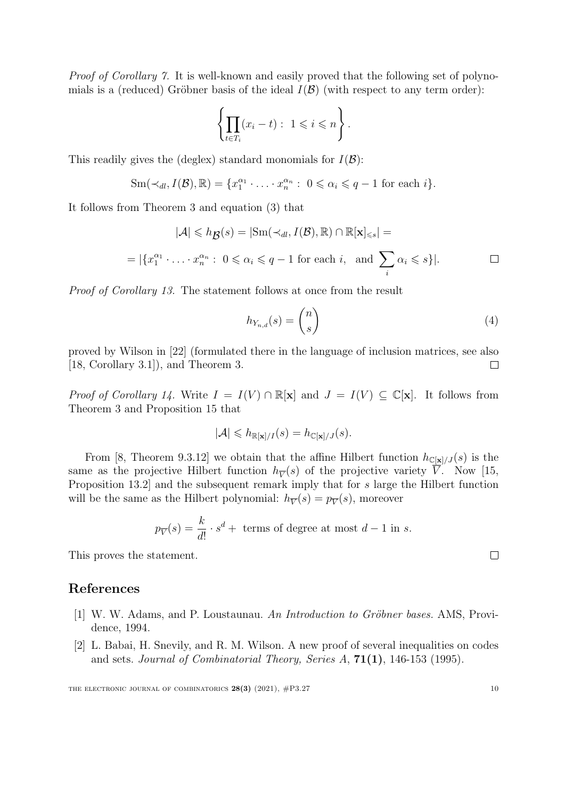Proof of Corollary [7.](#page-2-1) It is well-known and easily proved that the following set of polynomials is a (reduced) Gröbner basis of the ideal  $I(\mathcal{B})$  (with respect to any term order):

$$
\left\{ \prod_{t \in T_i} (x_i - t) : 1 \leqslant i \leqslant n \right\}.
$$

This readily gives the (deglex) standard monomials for  $I(\mathcal{B})$ :

$$
\operatorname{Sm}(\prec_{dl}, I(\mathcal{B}), \mathbb{R}) = \{x_1^{\alpha_1} \cdot \ldots \cdot x_n^{\alpha_n} : 0 \leq \alpha_i \leq q-1 \text{ for each } i\}.
$$

It follows from Theorem [3](#page-1-1) and equation [\(3\)](#page-5-0) that

$$
|\mathcal{A}| \leq h_{\mathcal{B}}(s) = |\text{Sm}(\prec_{dl}, I(\mathcal{B}), \mathbb{R}) \cap \mathbb{R}[\mathbf{x}]_{\leq s}| =
$$
  
= |\{x\_1^{\alpha\_1} \cdot \ldots \cdot x\_n^{\alpha\_n} : 0 \leq \alpha\_i \leq q - 1 \text{ for each } i, \text{ and } \sum\_i \alpha\_i \leq s\}|.

Proof of Corollary [13.](#page-4-1) The statement follows at once from the result

$$
h_{Y_{n,d}}(s) = \binom{n}{s} \tag{4}
$$

proved by Wilson in [\[22\]](#page-10-17) (formulated there in the language of inclusion matrices, see also [\[18,](#page-10-18) Corollary 3.1]), and Theorem [3.](#page-1-1)  $\Box$ 

*Proof of Corollary [14.](#page-4-0)* Write  $I = I(V) \cap \mathbb{R}[\mathbf{x}]$  and  $J = I(V) \subseteq \mathbb{C}[\mathbf{x}]$ . It follows from Theorem [3](#page-1-1) and Proposition [15](#page-5-2) that

$$
|\mathcal{A}| \leqslant h_{\mathbb{R}[\mathbf{x}]/I}(s) = h_{\mathbb{C}[\mathbf{x}]/J}(s).
$$

From [\[8,](#page-10-4) Theorem 9.3.12] we obtain that the affine Hilbert function  $h_{\mathbb{C}[\mathbf{x}]/J}(s)$  is the same as the projective Hilbert function  $h_{\overline{V}}(s)$  of the projective variety V. Now [\[15,](#page-10-19) Proposition 13.2] and the subsequent remark imply that for s large the Hilbert function will be the same as the Hilbert polynomial:  $h_{\overline{V}}(s) = p_{\overline{V}}(s)$ , moreover

$$
p_{\overline{V}}(s) = \frac{k}{d!} \cdot s^d + \text{ terms of degree at most } d - 1 \text{ in } s.
$$

This proves the statement.

# References

- <span id="page-9-1"></span>[1] W. W. Adams, and P. Loustaunau. An Introduction to Gröbner bases. AMS, Providence, 1994.
- <span id="page-9-0"></span>[2] L. Babai, H. Snevily, and R. M. Wilson. A new proof of several inequalities on codes and sets. Journal of Combinatorial Theory, Series A, 71(1), 146-153 (1995).

 $\Box$